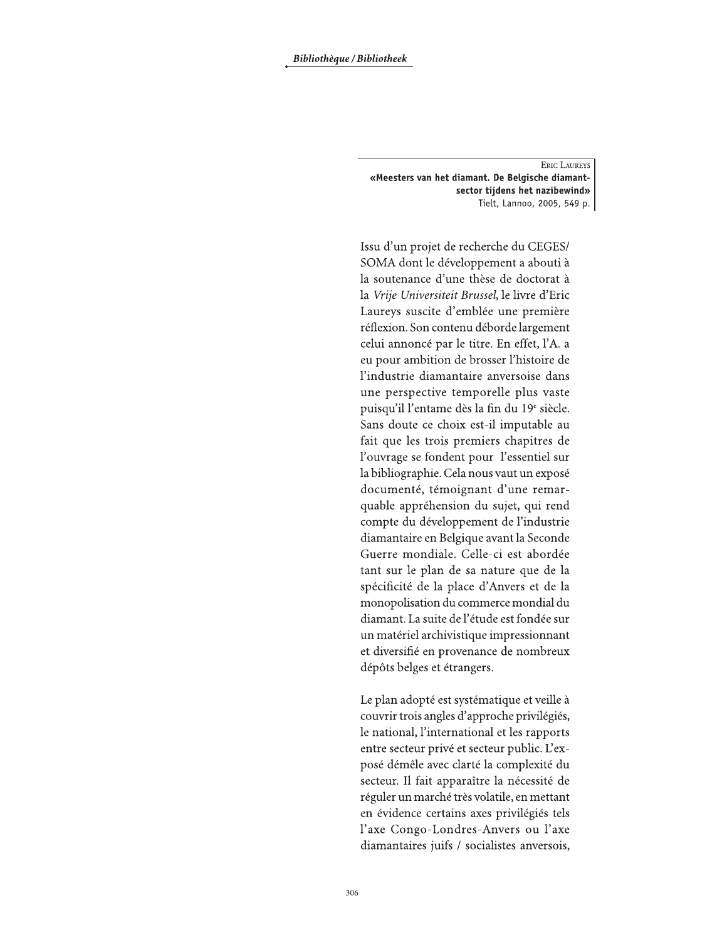**ERIC LAUREYS** «Meesters van het diamant. De Belgische diamantsector tijdens het nazibewind» Tielt, Lannoo, 2005, 549 p.

Issu d'un projet de recherche du CEGES/ SOMA dont le développement a abouti à la soutenance d'une thèse de doctorat à la Vrije Universiteit Brussel, le livre d'Eric Laureys suscite d'emblée une première réflexion. Son contenu déborde largement celui annoncé par le titre. En effet, l'A. a eu pour ambition de brosser l'histoire de l'industrie diamantaire anversoise dans une perspective temporelle plus vaste puisqu'il l'entame dès la fin du 19<sup>e</sup> siècle. Sans doute ce choix est-il imputable au fait que les trois premiers chapitres de l'ouvrage se fondent pour l'essentiel sur la bibliographie. Cela nous vaut un exposé documenté, témoignant d'une remarquable appréhension du sujet, qui rend compte du développement de l'industrie diamantaire en Belgique avant la Seconde Guerre mondiale. Celle-ci est abordée tant sur le plan de sa nature que de la spécificité de la place d'Anvers et de la monopolisation du commerce mondial du diamant. La suite de l'étude est fondée sur un matériel archivistique impressionnant et diversifié en provenance de nombreux dépôts belges et étrangers.

Le plan adopté est systématique et veille à couvrir trois angles d'approche privilégiés, le national, l'international et les rapports entre secteur privé et secteur public. L'exposé démêle avec clarté la complexité du secteur. Il fait apparaître la nécessité de réguler un marché très volatile, en mettant en évidence certains axes privilégiés tels l'axe Congo-Londres-Anvers ou l'axe diamantaires juifs / socialistes anversois,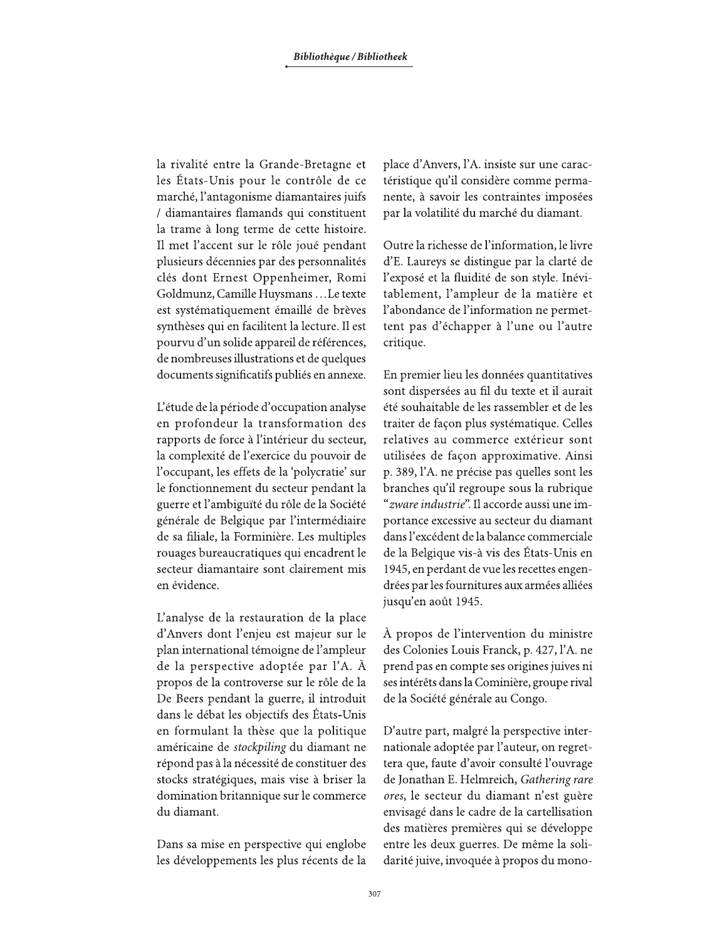la rivalité entre la Grande-Bretagne et les États-Unis pour le contrôle de ce marché, l'antagonisme diamantaires juifs / diamantaires flamands qui constituent la trame à long terme de cette histoire. Il met l'accent sur le rôle joué pendant plusieurs décennies par des personnalités clés dont Ernest Oppenheimer, Romi Goldmunz, Camille Huysmans ... Le texte est systématiquement émaillé de brèves synthèses qui en facilitent la lecture. Il est pourvu d'un solide appareil de références, de nombreuses illustrations et de quelques documents significatifs publiés en annexe.

L'étude de la période d'occupation analyse en profondeur la transformation des rapports de force à l'intérieur du secteur, la complexité de l'exercice du pouvoir de l'occupant, les effets de la 'polycratie' sur le fonctionnement du secteur pendant la guerre et l'ambiguïté du rôle de la Société générale de Belgique par l'intermédiaire de sa filiale, la Forminière. Les multiples rouages bureaucratiques qui encadrent le secteur diamantaire sont clairement mis en évidence.

L'analyse de la restauration de la place d'Anvers dont l'enjeu est majeur sur le plan international témoigne de l'ampleur de la perspective adoptée par l'A. À propos de la controverse sur le rôle de la De Beers pendant la guerre, il introduit dans le débat les objectifs des États-Unis en formulant la thèse que la politique américaine de stockpiling du diamant ne répond pas à la nécessité de constituer des stocks stratégiques, mais vise à briser la domination britannique sur le commerce du diamant.

Dans sa mise en perspective qui englobe les développements les plus récents de la place d'Anvers, l'A. insiste sur une caractéristique qu'il considère comme permanente, à savoir les contraintes imposées par la volatilité du marché du diamant.

Outre la richesse de l'information, le livre d'E. Laureys se distingue par la clarté de l'exposé et la fluidité de son style. Inévitablement, l'ampleur de la matière et l'abondance de l'information ne permettent pas d'échapper à l'une ou l'autre critique.

En premier lieu les données quantitatives sont dispersées au fil du texte et il aurait été souhaitable de les rassembler et de les traiter de façon plus systématique. Celles relatives au commerce extérieur sont utilisées de façon approximative. Ainsi p. 389, l'A. ne précise pas quelles sont les branches qu'il regroupe sous la rubrique "zware industrie". Il accorde aussi une importance excessive au secteur du diamant dans l'excédent de la balance commerciale de la Belgique vis-à vis des États-Unis en 1945, en perdant de vue les recettes engendrées par les fournitures aux armées alliées jusqu'en août 1945.

À propos de l'intervention du ministre des Colonies Louis Franck, p. 427, l'A. ne prend pas en compte ses origines juives ni ses intérêts dans la Cominière, groupe rival de la Société générale au Congo.

D'autre part, malgré la perspective internationale adoptée par l'auteur, on regrettera que, faute d'avoir consulté l'ouvrage de Jonathan E. Helmreich, Gathering rare ores, le secteur du diamant n'est guère envisagé dans le cadre de la cartellisation des matières premières qui se développe entre les deux guerres. De même la solidarité juive, invoquée à propos du mono